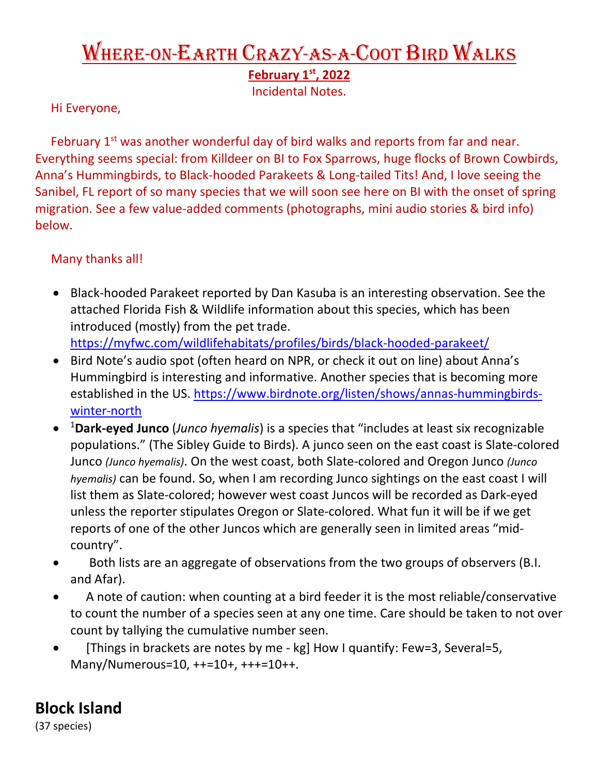## Where-on-Earth Crazy-as-a-Coot Bird Walks

**February 1st, 2022**

Incidental Notes.

Hi Everyone,

February 1<sup>st</sup> was another wonderful day of bird walks and reports from far and near. Everything seems special: from Killdeer on BI to Fox Sparrows, huge flocks of Brown Cowbirds, Anna's Hummingbirds, to Black-hooded Parakeets & Long-tailed Tits! And, I love seeing the Sanibel, FL report of so many species that we will soon see here on BI with the onset of spring migration. See a few value-added comments (photographs, mini audio stories & bird info) below.

## Many thanks all!

- Black-hooded Parakeet reported by Dan Kasuba is an interesting observation. See the attached Florida Fish & Wildlife information about this species, which has been introduced (mostly) from the pet trade. <https://myfwc.com/wildlifehabitats/profiles/birds/black-hooded-parakeet/>
- Bird Note's audio spot (often heard on NPR, or check it out on line) about Anna's Hummingbird is interesting and informative. Another species that is becoming more established in the US. [https://www.birdnote.org/listen/shows/annas-hummingbirds](https://www.birdnote.org/listen/shows/annas-hummingbirds-winter-north)[winter-north](https://www.birdnote.org/listen/shows/annas-hummingbirds-winter-north)
- <sup>1</sup> **Dark-eyed Junco** (*Junco hyemalis*) is a species that "includes at least six recognizable populations." (The Sibley Guide to Birds). A junco seen on the east coast is Slate-colored Junco *(Junco hyemalis)*. On the west coast, both Slate-colored and Oregon Junco *(Junco hyemalis)* can be found. So, when I am recording Junco sightings on the east coast I will list them as Slate-colored; however west coast Juncos will be recorded as Dark-eyed unless the reporter stipulates Oregon or Slate-colored. What fun it will be if we get reports of one of the other Juncos which are generally seen in limited areas "midcountry".
- Both lists are an aggregate of observations from the two groups of observers (B.I. and Afar).
- A note of caution: when counting at a bird feeder it is the most reliable/conservative to count the number of a species seen at any one time. Care should be taken to not over count by tallying the cumulative number seen.
- [Things in brackets are notes by me kg] How I quantify: Few=3, Several=5, Many/Numerous=10, ++=10+, +++=10++.

## **Block Island**

(37 species)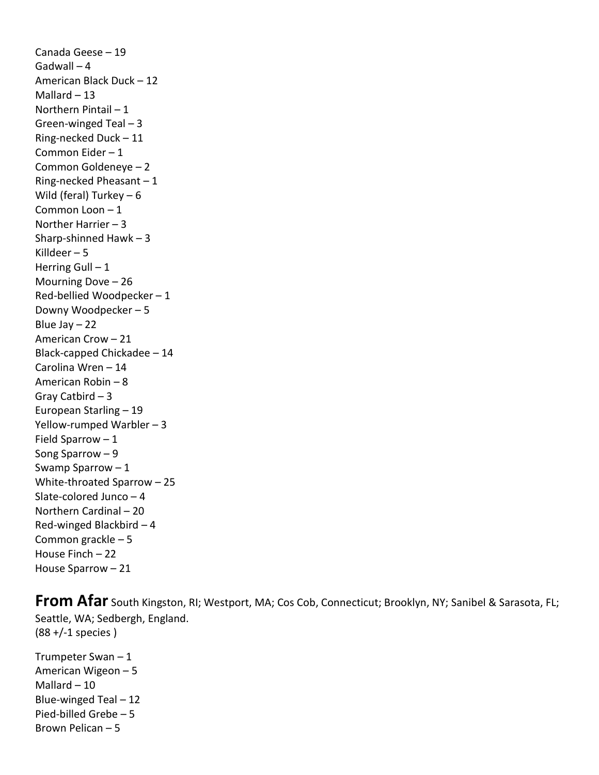Canada Geese – 19 Gadwall – 4 American Black Duck – 12 Mallard  $-13$ Northern Pintail – 1 Green-winged Teal – 3 Ring-necked Duck – 11 Common Eider – 1 Common Goldeneye – 2 Ring-necked Pheasant – 1 Wild (feral) Turkey – 6 Common Loon – 1 Norther Harrier – 3 Sharp-shinned Hawk – 3 Killdeer – 5 Herring Gull  $-1$ Mourning Dove – 26 Red-bellied Woodpecker – 1 Downy Woodpecker – 5 Blue Jay  $-22$ American Crow – 21 Black-capped Chickadee – 14 Carolina Wren – 14 American Robin – 8 Gray Catbird – 3 European Starling – 19 Yellow-rumped Warbler – 3 Field Sparrow – 1 Song Sparrow – 9 Swamp Sparrow – 1 White-throated Sparrow – 25 Slate-colored Junco – 4 Northern Cardinal – 20 Red-winged Blackbird – 4 Common grackle – 5 House Finch – 22 House Sparrow – 21

**From Afar** South Kingston, RI; Westport, MA; Cos Cob, Connecticut; Brooklyn, NY; Sanibel & Sarasota, FL; Seattle, WA; Sedbergh, England. (88 +/-1 species )

Trumpeter Swan – 1 American Wigeon – 5 Mallard  $-10$ Blue-winged Teal – 12 Pied-billed Grebe – 5 Brown Pelican – 5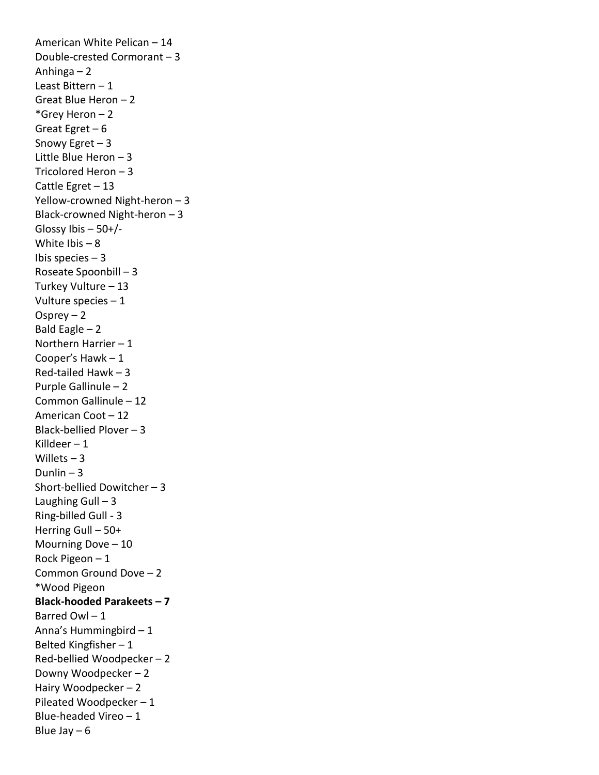American White Pelican – 14 Double-crested Cormorant – 3 Anhinga – 2 Least Bittern – 1 Great Blue Heron – 2 \*Grey Heron – 2 Great Egret – 6 Snowy Egret – 3 Little Blue Heron – 3 Tricolored Heron – 3 Cattle Egret – 13 Yellow-crowned Night-heron – 3 Black-crowned Night-heron – 3 Glossy Ibis  $-50+/-$ White Ibis  $-8$ Ibis species  $-3$ Roseate Spoonbill – 3 Turkey Vulture – 13 Vulture species – 1 Osprey – 2 Bald Eagle  $-2$ Northern Harrier – 1 Cooper's Hawk – 1 Red-tailed Hawk – 3 Purple Gallinule – 2 Common Gallinule – 12 American Coot – 12 Black-bellied Plover – 3 Killdeer – 1 Willets  $-3$ Dunlin  $-3$ Short-bellied Dowitcher – 3 Laughing Gull  $-3$ Ring-billed Gull - 3 Herring Gull – 50+ Mourning Dove – 10 Rock Pigeon – 1 Common Ground Dove – 2 \*Wood Pigeon **Black-hooded Parakeets – 7**  Barred Owl – 1 Anna's Hummingbird – 1 Belted Kingfisher – 1 Red-bellied Woodpecker – 2 Downy Woodpecker – 2 Hairy Woodpecker – 2 Pileated Woodpecker – 1 Blue-headed Vireo – 1 Blue Jay  $-6$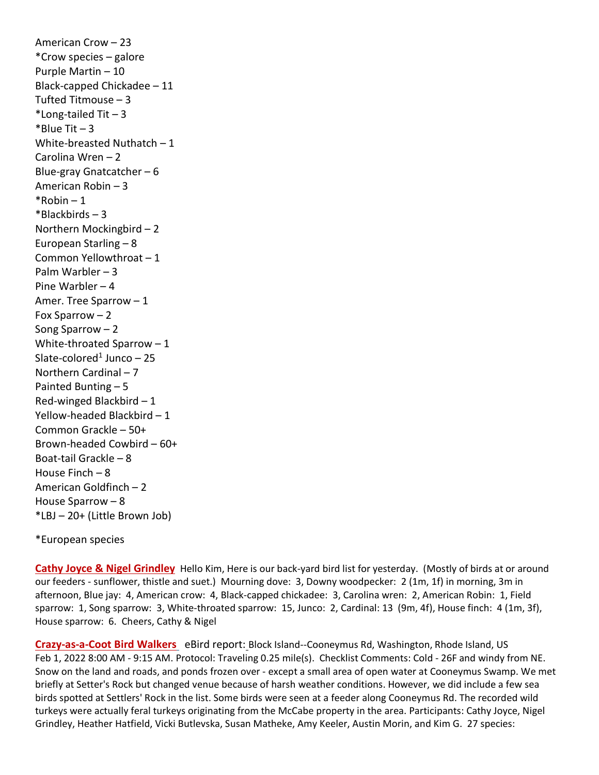American Crow – 23 \*Crow species – galore Purple Martin – 10 Black-capped Chickadee – 11 Tufted Titmouse – 3 \*Long-tailed  $Tit - 3$  $*$ Blue Tit  $-3$ White-breasted Nuthatch  $-1$ Carolina Wren – 2 Blue-gray Gnatcatcher – 6 American Robin – 3  $*$ Robin – 1 \*Blackbirds – 3 Northern Mockingbird – 2 European Starling – 8 Common Yellowthroat – 1 Palm Warbler – 3 Pine Warbler – 4 Amer. Tree Sparrow – 1 Fox Sparrow – 2 Song Sparrow – 2 White-throated Sparrow – 1 Slate-colored<sup>1</sup> Junco  $-25$ Northern Cardinal – 7 Painted Bunting – 5 Red-winged Blackbird – 1 Yellow-headed Blackbird – 1 Common Grackle – 50+ Brown-headed Cowbird – 60+ Boat-tail Grackle – 8 House Finch – 8 American Goldfinch – 2 House Sparrow – 8 \*LBJ – 20+ (Little Brown Job)

\*European species

**Cathy Joyce & Nigel Grindley** Hello Kim, Here is our back-yard bird list for yesterday. (Mostly of birds at or around our feeders - sunflower, thistle and suet.) Mourning dove: 3, Downy woodpecker: 2 (1m, 1f) in morning, 3m in afternoon, Blue jay: 4, American crow: 4, Black-capped chickadee: 3, Carolina wren: 2, American Robin: 1, Field sparrow: 1, Song sparrow: 3, White-throated sparrow: 15, Junco: 2, Cardinal: 13 (9m, 4f), House finch: 4 (1m, 3f), House sparrow: 6. Cheers, Cathy & Nigel

**Crazy-as-a-Coot Bird Walkers** eBird report: Block Island--Cooneymus Rd, Washington, Rhode Island, US Feb 1, 2022 8:00 AM - 9:15 AM. Protocol: Traveling 0.25 mile(s). Checklist Comments: Cold - 26F and windy from NE. Snow on the land and roads, and ponds frozen over - except a small area of open water at Cooneymus Swamp. We met briefly at Setter's Rock but changed venue because of harsh weather conditions. However, we did include a few sea birds spotted at Settlers' Rock in the list. Some birds were seen at a feeder along Cooneymus Rd. The recorded wild turkeys were actually feral turkeys originating from the McCabe property in the area. Participants: Cathy Joyce, Nigel Grindley, Heather Hatfield, Vicki Butlevska, Susan Matheke, Amy Keeler, Austin Morin, and Kim G. 27 species: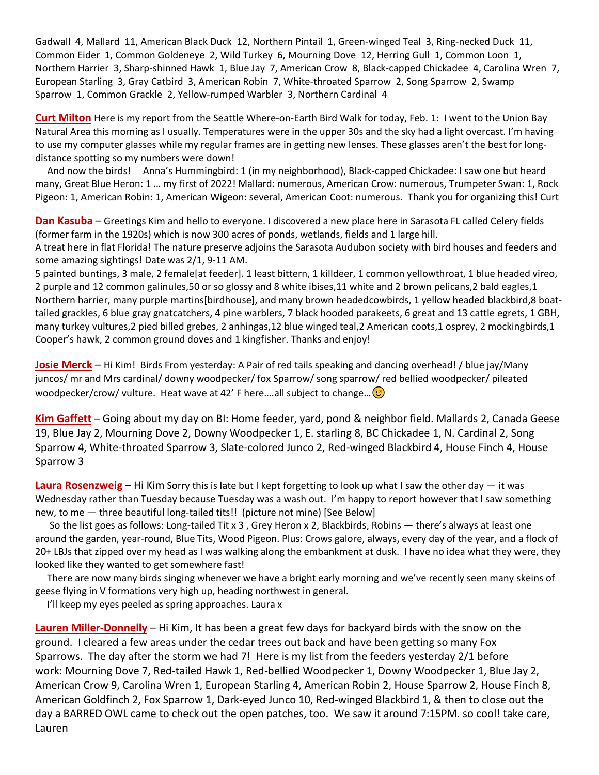Gadwall 4, Mallard 11, American Black Duck 12, Northern Pintail 1, Green-winged Teal 3, Ring-necked Duck 11, Common Eider 1, Common Goldeneye 2, Wild Turkey 6, Mourning Dove 12, Herring Gull 1, Common Loon 1, Northern Harrier 3, Sharp-shinned Hawk 1, Blue Jay 7, American Crow 8, Black-capped Chickadee 4, Carolina Wren 7, European Starling 3, Gray Catbird 3, American Robin 7, White-throated Sparrow 2, Song Sparrow 2, Swamp Sparrow 1, Common Grackle 2, Yellow-rumped Warbler 3, Northern Cardinal 4

**Curt Milton** Here is my report from the Seattle Where-on-Earth Bird Walk for today, Feb. 1: I went to the Union Bay Natural Area this morning as I usually. Temperatures were in the upper 30s and the sky had a light overcast. I'm having to use my computer glasses while my regular frames are in getting new lenses. These glasses aren't the best for longdistance spotting so my numbers were down!

 And now the birds! Anna's Hummingbird: 1 (in my neighborhood), Black-capped Chickadee: I saw one but heard many, Great Blue Heron: 1 … my first of 2022! Mallard: numerous, American Crow: numerous, Trumpeter Swan: 1, Rock Pigeon: 1, American Robin: 1, American Wigeon: several, American Coot: numerous. Thank you for organizing this! Curt

**Dan Kasuba** – Greetings Kim and hello to everyone. I discovered a new place here in Sarasota FL called Celery fields (former farm in the 1920s) which is now 300 acres of ponds, wetlands, fields and 1 large hill.

A treat here in flat Florida! The nature preserve adjoins the Sarasota Audubon society with bird houses and feeders and some amazing sightings! Date was 2/1, 9-11 AM.

5 painted buntings, 3 male, 2 female[at feeder]. 1 least bittern, 1 killdeer, 1 common yellowthroat, 1 blue headed vireo, 2 purple and 12 common galinules,50 or so glossy and 8 white ibises,11 white and 2 brown pelicans,2 bald eagles,1 Northern harrier, many purple martins[birdhouse], and many brown headedcowbirds, 1 yellow headed blackbird,8 boattailed grackles, 6 blue gray gnatcatchers, 4 pine warblers, 7 black hooded parakeets, 6 great and 13 cattle egrets, 1 GBH, many turkey vultures,2 pied billed grebes, 2 anhingas,12 blue winged teal,2 American coots,1 osprey, 2 mockingbirds,1 Cooper's hawk, 2 common ground doves and 1 kingfisher. Thanks and enjoy!

**Josie Merck** – Hi Kim! Birds From yesterday: A Pair of red tails speaking and dancing overhead! / blue jay/Many juncos/ mr and Mrs cardinal/ downy woodpecker/ fox Sparrow/ song sparrow/ red bellied woodpecker/ pileated woodpecker/crow/ vulture. Heat wave at 42' F here....all subject to change... $\odot$ 

**Kim Gaffett** – Going about my day on BI: Home feeder, yard, pond & neighbor field. Mallards 2, Canada Geese 19, Blue Jay 2, Mourning Dove 2, Downy Woodpecker 1, E. starling 8, BC Chickadee 1, N. Cardinal 2, Song Sparrow 4, White-throated Sparrow 3, Slate-colored Junco 2, Red-winged Blackbird 4, House Finch 4, House Sparrow 3

**Laura Rosenzweig** – Hi Kim Sorry this is late but I kept forgetting to look up what I saw the other day — it was Wednesday rather than Tuesday because Tuesday was a wash out. I'm happy to report however that I saw something new, to me — three beautiful long-tailed tits!! (picture not mine) [See Below]

 So the list goes as follows: Long-tailed Tit x 3 , Grey Heron x 2, Blackbirds, Robins — there's always at least one around the garden, year-round, Blue Tits, Wood Pigeon. Plus: Crows galore, always, every day of the year, and a flock of 20+ LBJs that zipped over my head as I was walking along the embankment at dusk. I have no idea what they were, they looked like they wanted to get somewhere fast!

 There are now many birds singing whenever we have a bright early morning and we've recently seen many skeins of geese flying in V formations very high up, heading northwest in general.

I'll keep my eyes peeled as spring approaches. Laura x

**Lauren Miller-Donnelly** – Hi Kim, It has been a great few days for backyard birds with the snow on the ground. I cleared a few areas under the cedar trees out back and have been getting so many Fox Sparrows. The day after the storm we had 7! Here is my list from the feeders yesterday 2/1 before work: Mourning Dove 7, Red-tailed Hawk 1, Red-bellied Woodpecker 1, Downy Woodpecker 1, Blue Jay 2, American Crow 9, Carolina Wren 1, European Starling 4, American Robin 2, House Sparrow 2, House Finch 8, American Goldfinch 2, Fox Sparrow 1, Dark-eyed Junco 10, Red-winged Blackbird 1, & then to close out the day a BARRED OWL came to check out the open patches, too. We saw it around 7:15PM. so cool! take care, Lauren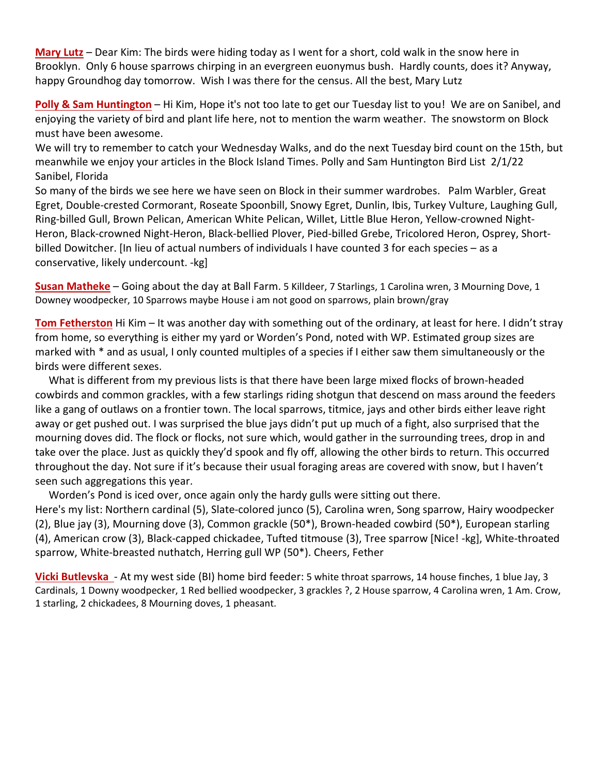**Mary Lutz** – Dear Kim: The birds were hiding today as I went for a short, cold walk in the snow here in Brooklyn. Only 6 house sparrows chirping in an evergreen euonymus bush. Hardly counts, does it? Anyway, happy Groundhog day tomorrow. Wish I was there for the census. All the best, Mary Lutz

**Polly & Sam Huntington** – Hi Kim, Hope it's not too late to get our Tuesday list to you! We are on Sanibel, and enjoying the variety of bird and plant life here, not to mention the warm weather. The snowstorm on Block must have been awesome.

We will try to remember to catch your Wednesday Walks, and do the next Tuesday bird count on the 15th, but meanwhile we enjoy your articles in the Block Island Times. Polly and Sam Huntington Bird List 2/1/22 Sanibel, Florida

So many of the birds we see here we have seen on Block in their summer wardrobes. Palm Warbler, Great Egret, Double-crested Cormorant, Roseate Spoonbill, Snowy Egret, Dunlin, Ibis, Turkey Vulture, Laughing Gull, Ring-billed Gull, Brown Pelican, American White Pelican, Willet, Little Blue Heron, Yellow-crowned Night-Heron, Black-crowned Night-Heron, Black-bellied Plover, Pied-billed Grebe, Tricolored Heron, Osprey, Shortbilled Dowitcher. [In lieu of actual numbers of individuals I have counted 3 for each species – as a conservative, likely undercount. -kg]

**Susan Matheke** – Going about the day at Ball Farm. 5 Killdeer, 7 Starlings, 1 Carolina wren, 3 Mourning Dove, 1 Downey woodpecker, 10 Sparrows maybe House i am not good on sparrows, plain brown/gray

**Tom Fetherston** Hi Kim – It was another day with something out of the ordinary, at least for here. I didn't stray from home, so everything is either my yard or Worden's Pond, noted with WP. Estimated group sizes are marked with \* and as usual, I only counted multiples of a species if I either saw them simultaneously or the birds were different sexes.

 What is different from my previous lists is that there have been large mixed flocks of brown-headed cowbirds and common grackles, with a few starlings riding shotgun that descend on mass around the feeders like a gang of outlaws on a frontier town. The local sparrows, titmice, jays and other birds either leave right away or get pushed out. I was surprised the blue jays didn't put up much of a fight, also surprised that the mourning doves did. The flock or flocks, not sure which, would gather in the surrounding trees, drop in and take over the place. Just as quickly they'd spook and fly off, allowing the other birds to return. This occurred throughout the day. Not sure if it's because their usual foraging areas are covered with snow, but I haven't seen such aggregations this year.

Worden's Pond is iced over, once again only the hardy gulls were sitting out there.

Here's my list: Northern cardinal (5), Slate-colored junco (5), Carolina wren, Song sparrow, Hairy woodpecker (2), Blue jay (3), Mourning dove (3), Common grackle (50\*), Brown-headed cowbird (50\*), European starling (4), American crow (3), Black-capped chickadee, Tufted titmouse (3), Tree sparrow [Nice! -kg], White-throated sparrow, White-breasted nuthatch, Herring gull WP (50\*). Cheers, Fether

**Vicki Butlevska** - At my west side (BI) home bird feeder: 5 white throat sparrows, 14 house finches, 1 blue Jay, 3 Cardinals, 1 Downy woodpecker, 1 Red bellied woodpecker, 3 grackles ?, 2 House sparrow, 4 Carolina wren, 1 Am. Crow, 1 starling, 2 chickadees, 8 Mourning doves, 1 pheasant.